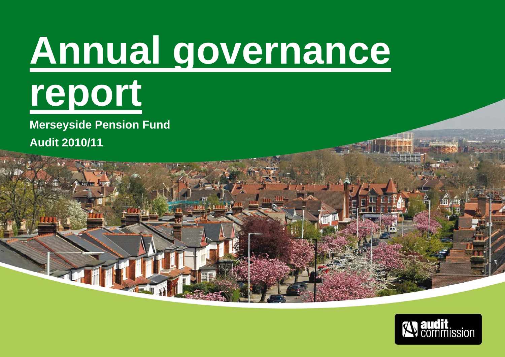# **Annual governance report**

**Merseyside Pension Fund** 

**Audit 2010/11** 

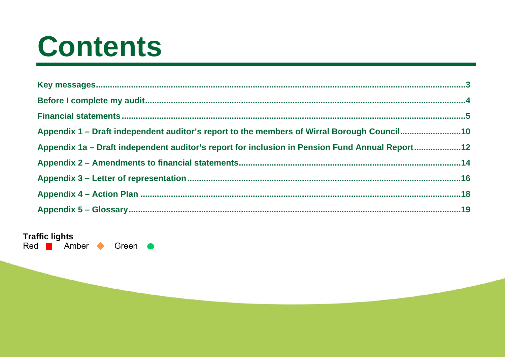## Contents

| Appendix 1 – Draft independent auditor's report to the members of Wirral Borough Council10     |  |
|------------------------------------------------------------------------------------------------|--|
| Appendix 1a – Draft independent auditor's report for inclusion in Pension Fund Annual Report12 |  |
|                                                                                                |  |
|                                                                                                |  |
|                                                                                                |  |
|                                                                                                |  |

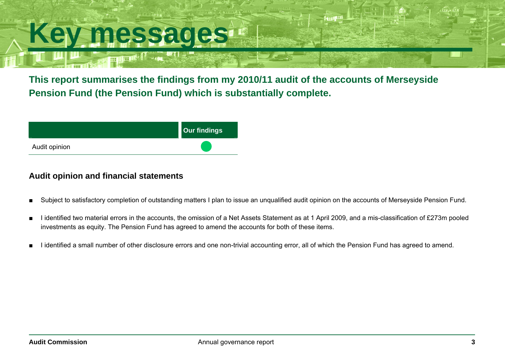## **Key messages**

**This report summarises the findings from my 2010/11 audit of the accounts of Merseyside Pension Fund (the Pension Fund) which is substantially complete.** 



#### **Audit opinion and financial statements**

- Subject to satisfactory completion of outstanding matters I plan to issue an unqualified audit opinion on the accounts of Merseyside Pension Fund.
- I identified two material errors in the accounts, the omission of a Net Assets Statement as at 1 April 2009, and a mis-classification of £273m pooled investments as equity. The Pension Fund has agreed to amend the accounts for both of these items.
- I identified a small number of other disclosure errors and one non-trivial accounting error, all of which the Pension Fund has agreed to amend.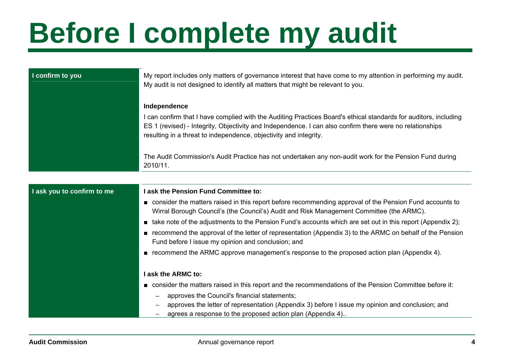## **Before I complete my audit**

| I confirm to you           | My report includes only matters of governance interest that have come to my attention in performing my audit.<br>My audit is not designed to identify all matters that might be relevant to you.                                                                                                                  |  |  |  |
|----------------------------|-------------------------------------------------------------------------------------------------------------------------------------------------------------------------------------------------------------------------------------------------------------------------------------------------------------------|--|--|--|
|                            | Independence<br>I can confirm that I have complied with the Auditing Practices Board's ethical standards for auditors, including<br>ES 1 (revised) - Integrity, Objectivity and Independence. I can also confirm there were no relationships<br>resulting in a threat to independence, objectivity and integrity. |  |  |  |
|                            | The Audit Commission's Audit Practice has not undertaken any non-audit work for the Pension Fund during<br>2010/11.                                                                                                                                                                                               |  |  |  |
|                            |                                                                                                                                                                                                                                                                                                                   |  |  |  |
| I ask you to confirm to me | I ask the Pension Fund Committee to:                                                                                                                                                                                                                                                                              |  |  |  |
|                            | consider the matters raised in this report before recommending approval of the Pension Fund accounts to<br>Wirral Borough Council's (the Council's) Audit and Risk Management Committee (the ARMC).                                                                                                               |  |  |  |
|                            | ■ take note of the adjustments to the Pension Fund's accounts which are set out in this report (Appendix 2);                                                                                                                                                                                                      |  |  |  |
|                            | recommend the approval of the letter of representation (Appendix 3) to the ARMC on behalf of the Pension<br>Fund before I issue my opinion and conclusion; and                                                                                                                                                    |  |  |  |
|                            | ■ recommend the ARMC approve management's response to the proposed action plan (Appendix 4).                                                                                                                                                                                                                      |  |  |  |
|                            | I ask the ARMC to:                                                                                                                                                                                                                                                                                                |  |  |  |
|                            | ■ consider the matters raised in this report and the recommendations of the Pension Committee before it:                                                                                                                                                                                                          |  |  |  |
|                            | approves the Council's financial statements;<br>approves the letter of representation (Appendix 3) before I issue my opinion and conclusion; and                                                                                                                                                                  |  |  |  |
|                            | agrees a response to the proposed action plan (Appendix 4)                                                                                                                                                                                                                                                        |  |  |  |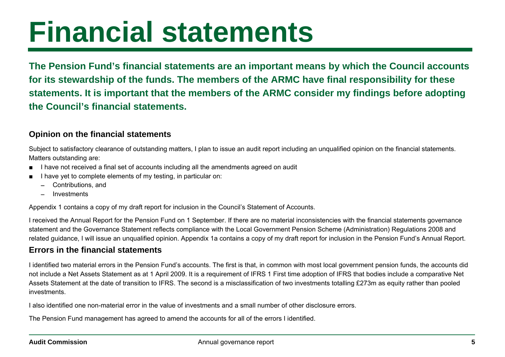### **Financial statements**

**The Pension Fund's financial statements are an important means by which the Council accounts for its stewardship of the funds. The members of the ARMC have final responsibility for these statements. It is important that the members of the ARMC consider my findings before adopting the Council's financial statements.** 

#### **Opinion on the financial statements**

Subject to satisfactory clearance of outstanding matters, I plan to issue an audit report including an unqualified opinion on the financial statements. Matters outstanding are:

- I have not received a final set of accounts including all the amendments agreed on audit
- I have yet to complete elements of my testing, in particular on:
	- − Contributions, and
	- −Investments

Appendix 1 contains a copy of my draft report for inclusion in the Council's Statement of Accounts.

I received the Annual Report for the Pension Fund on 1 September. If there are no material inconsistencies with the financial statements governance statement and the Governance Statement reflects compliance with the Local Government Pension Scheme (Administration) Regulations 2008 and related guidance, I will issue an unqualified opinion. Appendix 1a contains a copy of my draft report for inclusion in the Pension Fund's Annual Report.

#### **Errors in the financial statements**

I identified two material errors in the Pension Fund's accounts. The first is that, in common with most local government pension funds, the accounts did not include a Net Assets Statement as at 1 April 2009. It is a requirement of IFRS 1 First time adoption of IFRS that bodies include a comparative Net Assets Statement at the date of transition to IFRS. The second is a misclassification of two investments totalling £273m as equity rather than pooled investments.

I also identified one non-material error in the value of investments and a small number of other disclosure errors.

The Pension Fund management has agreed to amend the accounts for all of the errors I identified.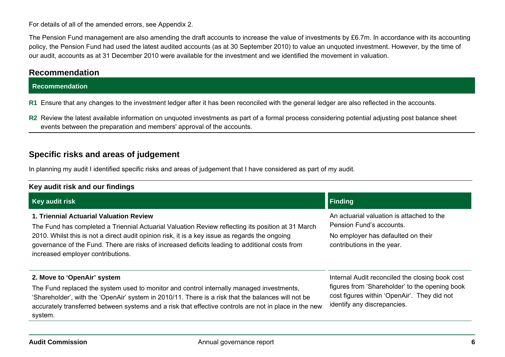For details of all of the amended errors, see Appendix 2.

The Pension Fund management are also amending the draft accounts to increase the value of investments by £6.7m. In accordance with its accounting policy, the Pension Fund had used the latest audited accounts (as at 30 September 2010) to value an unquoted investment. However, by the time of our audit, accounts as at 31 December 2010 were available for the investment and we identified the movement in valuation.

#### **Recommendation**

#### **Recommendation**

**R1** Ensure that any changes to the investment ledger after it has been reconciled with the general ledger are also reflected in the accounts.

**R2** Review the latest available information on unquoted investments as part of a formal process considering potential adjusting post balance sheet events between the preparation and members' approval of the accounts.

#### **Specific risks and areas of judgement**

In planning my audit I identified specific risks and areas of judgement that I have considered as part of my audit.

| Key audit risk and our findings                                                                                                                                                                                                                                                                                                                                                       |                                                                                                                                                                                 |  |  |
|---------------------------------------------------------------------------------------------------------------------------------------------------------------------------------------------------------------------------------------------------------------------------------------------------------------------------------------------------------------------------------------|---------------------------------------------------------------------------------------------------------------------------------------------------------------------------------|--|--|
| Key audit risk                                                                                                                                                                                                                                                                                                                                                                        | <b>Finding</b>                                                                                                                                                                  |  |  |
| 1. Triennial Actuarial Valuation Review<br>The Fund has completed a Triennial Actuarial Valuation Review reflecting its position at 31 March<br>2010. Whilst this is not a direct audit opinion risk, it is a key issue as regards the ongoing<br>governance of the Fund. There are risks of increased deficits leading to additional costs from<br>increased employer contributions. | An actuarial valuation is attached to the<br>Pension Fund's accounts.<br>No employer has defaulted on their<br>contributions in the year.                                       |  |  |
| 2. Move to 'OpenAir' system<br>The Fund replaced the system used to monitor and control internally managed investments,<br>'Shareholder', with the 'OpenAir' system in 2010/11. There is a risk that the balances will not be<br>accurately transferred between systems and a risk that effective controls are not in place in the new<br>system.                                     | Internal Audit reconciled the closing book cost<br>figures from 'Shareholder' to the opening book<br>cost figures within 'OpenAir'. They did not<br>identify any discrepancies. |  |  |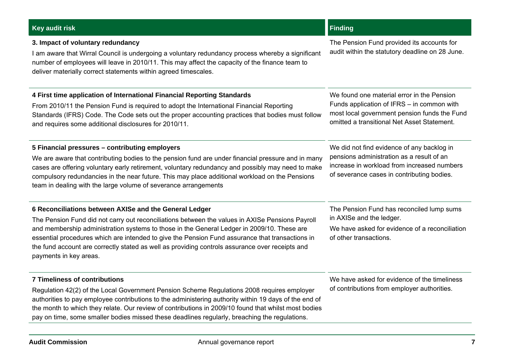#### **Key audit risk Finding Contract Contract Contract Contract Contract Contract Contract Contract Contract Contract Contract Contract Contract Contract Contract Contract Contract Contract Contract Contract Contract Contract**

#### **3. Impact of voluntary redundancy**

I am aware that Wirral Council is undergoing a voluntary redundancy process whereby a significant number of employees will leave in 2010/11. This may affect the capacity of the finance team to deliver materially correct statements within agreed timescales.

#### **4 First time application of International Financial Reporting Standards**

From 2010/11 the Pension Fund is required to adopt the International Financial Reporting Standards (IFRS) Code. The Code sets out the proper accounting practices that bodies must follow and requires some additional disclosures for 2010/11.

#### **5 Financial pressures – contributing employers**

We are aware that contributing bodies to the pension fund are under financial pressure and in many cases are offering voluntary early retirement, voluntary redundancy and possibly may need to make compulsory redundancies in the near future. This may place additional workload on the Pensions team in dealing with the large volume of severance arrangements

#### **6 Reconciliations between AXISe and the General Ledger**

The Pension Fund did not carry out reconciliations between the values in AXISe Pensions Payroll and membership administration systems to those in the General Ledger in 2009/10. These are essential procedures which are intended to give the Pension Fund assurance that transactions in the fund account are correctly stated as well as providing controls assurance over receipts and payments in key areas.

#### **7 Timeliness of contributions**

Regulation 42(2) of the Local Government Pension Scheme Regulations 2008 requires employer authorities to pay employee contributions to the administering authority within 19 days of the end of the month to which they relate. Our review of contributions in 2009/10 found that whilst most bodies pay on time, some smaller bodies missed these deadlines regularly, breaching the regulations.

#### We have asked for evidence of the timeliness of contributions from employer authorities.

The Pension Fund provided its accounts for audit within the statutory deadline on 28 June.

We found one material error in the Pension Funds application of IFRS – in common with most local government pension funds the Fund omitted a transitional Net Asset Statement.

We did not find evidence of any backlog in pensions administration as a result of an increase in workload from increased numbers of severance cases in contributing bodies.

The Pension Fund has reconciled lump sums in AXISe and the ledger.

We have asked for evidence of a reconciliation of other transactions.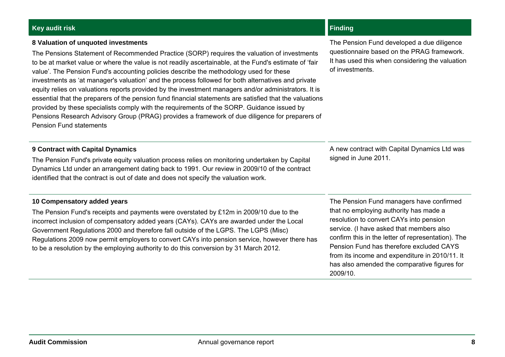#### **Audit Commission**

Annual governance report **8**

### **Key audit risk Finding Contract Contract Contract Contract Contract Contract Contract Contract Contract Contract Contract Contract Contract Contract Contract Contract Contract Contract Contract Contract Contract Contract**

#### **8 Valuation of unquoted investments**

The Pensions Statement of Recommended Practice (SORP) requires the valuation of investments to be at market value or where the value is not readily ascertainable, at the Fund's estimate of 'fair value'. The Pension Fund's accounting policies describe the methodology used for these investments as 'at manager's valuation' and the process followed for both alternatives and private equity relies on valuations reports provided by the investment managers and/or administrators. It is essential that the preparers of the pension fund financial statements are satisfied that the valuations provided by these specialists comply with the requirements of the SORP. Guidance issued by Pensions Research Advisory Group (PRAG) provides a framework of due diligence for preparers of Pension Fund statements

#### **9 Contract with Capital Dynamics**

The Pension Fund's private equity valuation process relies on monitoring undertaken by Capital Dynamics Ltd under an arrangement dating back to 1991. Our review in 2009/10 of the contract identified that the contract is out of date and does not specify the valuation work.

#### **10 Compensatory added years**

The Pension Fund's receipts and payments were overstated by £12m in 2009/10 due to the incorrect inclusion of compensatory added years (CAYs). CAYs are awarded under the Local Government Regulations 2000 and therefore fall outside of the LGPS. The LGPS (Misc) Regulations 2009 now permit employers to convert CAYs into pension service, however there has to be a resolution by the employing authority to do this conversion by 31 March 2012.

The Pension Fund developed a due diligence questionnaire based on the PRAG framework. It has used this when considering the valuation of investments.

A new contract with Capital Dynamics Ltd was signed in June 2011.

The Pension Fund managers have confirmed that no employing authority has made a resolution to convert CAYs into pension service. (I have asked that members also confirm this in the letter of representation). The Pension Fund has therefore excluded CAYS from its income and expenditure in 2010/11. It has also amended the comparative figures for 2009/10.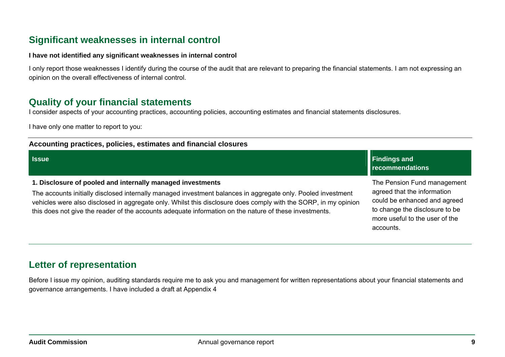### **Significant weaknesses in internal control**

#### **I have not identified any significant weaknesses in internal control**

I only report those weaknesses I identify during the course of the audit that are relevant to preparing the financial statements. I am not expressing an opinion on the overall effectiveness of internal control.

#### **Quality of your financial statements**

I consider aspects of your accounting practices, accounting policies, accounting estimates and financial statements disclosures.

I have only one matter to report to you:

| Accounting practices, policies, estimates and financial closures                                                                                                                                                                                                                                                                                                                                        |                                                                                                                                                                             |
|---------------------------------------------------------------------------------------------------------------------------------------------------------------------------------------------------------------------------------------------------------------------------------------------------------------------------------------------------------------------------------------------------------|-----------------------------------------------------------------------------------------------------------------------------------------------------------------------------|
| <b>S</b> sue                                                                                                                                                                                                                                                                                                                                                                                            | <b>Findings and</b><br>recommendations                                                                                                                                      |
| 1. Disclosure of pooled and internally managed investments<br>The accounts initially disclosed internally managed investment balances in aggregate only. Pooled investment<br>vehicles were also disclosed in aggregate only. Whilst this disclosure does comply with the SORP, in my opinion<br>this does not give the reader of the accounts adequate information on the nature of these investments. | The Pension Fund management<br>agreed that the information<br>could be enhanced and agreed<br>to change the disclosure to be<br>more useful to the user of the<br>accounts. |

### **Letter of representation**

Before I issue my opinion, auditing standards require me to ask you and management for written representations about your financial statements and governance arrangements. I have included a draft at Appendix 4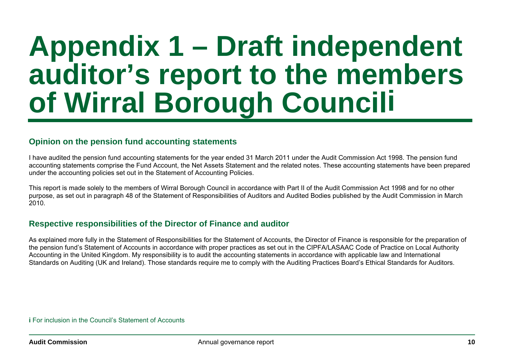### **Appendix 1 – Draft independent auditor's report to the members of Wirral Borough Councili**

#### **Opinion on the pension fund accounting statements**

I have audited the pension fund accounting statements for the year ended 31 March 2011 under the Audit Commission Act 1998. The pension fund accounting statements comprise the Fund Account, the Net Assets Statement and the related notes. These accounting statements have been prepared under the accounting policies set out in the Statement of Accounting Policies.

This report is made solely to the members of Wirral Borough Council in accordance with Part II of the Audit Commission Act 1998 and for no other purpose, as set out in paragraph 48 of the Statement of Responsibilities of Auditors and Audited Bodies published by the Audit Commission in March 2010.

#### **Respective responsibilities of the Director of Finance and auditor**

As explained more fully in the Statement of Responsibilities for the Statement of Accounts, the Director of Finance is responsible for the preparation of the pension fund's Statement of Accounts in accordance with proper practices as set out in the CIPFA/LASAAC Code of Practice on Local Authority Accounting in the United Kingdom. My responsibility is to audit the accounting statements in accordance with applicable law and International Standards on Auditing (UK and Ireland). Those standards require me to comply with the Auditing Practices Board's Ethical Standards for Auditors.

**i** For inclusion in the Council's Statement of Accounts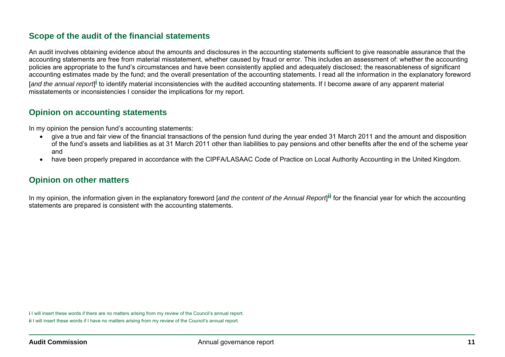#### **Scope of the audit of the financial statements**

An audit involves obtaining evidence about the amounts and disclosures in the accounting statements sufficient to give reasonable assurance that the accounting statements are free from material misstatement, whether caused by fraud or error. This includes an assessment of: whether the accounting policies are appropriate to the fund's circumstances and have been consistently applied and adequately disclosed; the reasonableness of significant accounting estimates made by the fund; and the overall presentation of the accounting statements. I read all the information in the explanatory foreword [*and the annual report*]**i** to identify material inconsistencies with the audited accounting statements. If I become aware of any apparent material misstatements or inconsistencies I consider the implications for my report.

#### **Opinion on accounting statements**

In my opinion the pension fund's accounting statements:

- give a true and fair view of the financial transactions of the pension fund during the year ended 31 March 2011 and the amount and disposition of the fund's assets and liabilities as at 31 March 2011 other than liabilities to pay pensions and other benefits after the end of the scheme year and
- have been properly prepared in accordance with the CIPFA/LASAAC Code of Practice on Local Authority Accounting in the United Kingdom.

#### **Opinion on other matters**

In my opinion, the information given in the explanatory foreword [*and the content of the Annual Report*]**ii** for the financial year for which the accounting statements are prepared is consistent with the accounting statements.

**i** I will insert these words if there are no matters arising from my review of the Council's annual report. **ii** I will insert these words if I have no matters arising from my review of the Council's annual report.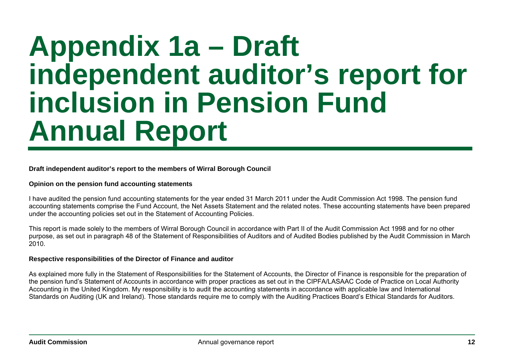### **Appendix 1a – Draft independent auditor's report for inclusion in Pension Fund Annual Report**

**Draft independent auditor's report to the members of Wirral Borough Council** 

#### **Opinion on the pension fund accounting statements**

I have audited the pension fund accounting statements for the year ended 31 March 2011 under the Audit Commission Act 1998. The pension fund accounting statements comprise the Fund Account, the Net Assets Statement and the related notes. These accounting statements have been prepared under the accounting policies set out in the Statement of Accounting Policies.

This report is made solely to the members of Wirral Borough Council in accordance with Part II of the Audit Commission Act 1998 and for no other purpose, as set out in paragraph 48 of the Statement of Responsibilities of Auditors and of Audited Bodies published by the Audit Commission in March 2010.

#### **Respective responsibilities of the Director of Finance and auditor**

As explained more fully in the Statement of Responsibilities for the Statement of Accounts, the Director of Finance is responsible for the preparation of the pension fund's Statement of Accounts in accordance with proper practices as set out in the CIPFA/LASAAC Code of Practice on Local Authority Accounting in the United Kingdom. My responsibility is to audit the accounting statements in accordance with applicable law and International Standards on Auditing (UK and Ireland). Those standards require me to comply with the Auditing Practices Board's Ethical Standards for Auditors.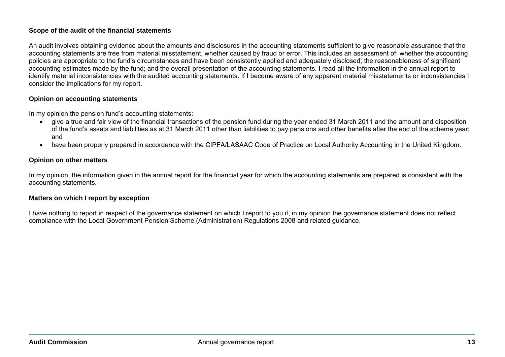#### **Scope of the audit of the financial statements**

An audit involves obtaining evidence about the amounts and disclosures in the accounting statements sufficient to give reasonable assurance that the accounting statements are free from material misstatement, whether caused by fraud or error. This includes an assessment of: whether the accounting policies are appropriate to the fund's circumstances and have been consistently applied and adequately disclosed; the reasonableness of significant accounting estimates made by the fund; and the overall presentation of the accounting statements. I read all the information in the annual report to identify material inconsistencies with the audited accounting statements. If I become aware of any apparent material misstatements or inconsistencies I consider the implications for my report.

#### **Opinion on accounting statements**

In my opinion the pension fund's accounting statements:

- give a true and fair view of the financial transactions of the pension fund during the year ended 31 March 2011 and the amount and disposition of the fund's assets and liabilities as at 31 March 2011 other than liabilities to pay pensions and other benefits after the end of the scheme year; and
- have been properly prepared in accordance with the CIPFA/LASAAC Code of Practice on Local Authority Accounting in the United Kingdom.

#### **Opinion on other matters**

In my opinion, the information given in the annual report for the financial year for which the accounting statements are prepared is consistent with the accounting statements.

#### **Matters on which I report by exception**

I have nothing to report in respect of the governance statement on which I report to you if, in my opinion the governance statement does not reflect compliance with the Local Government Pension Scheme (Administration) Regulations 2008 and related guidance.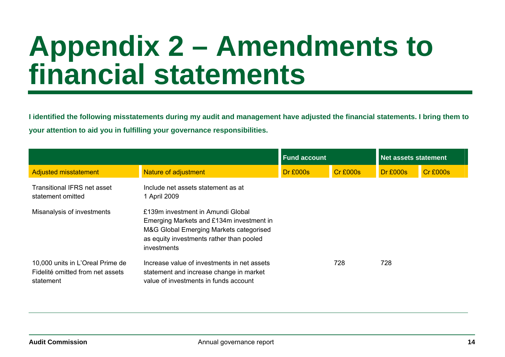### **Appendix 2 – Amendments to financial statements**

**I identified the following misstatements during my audit and management have adjusted the financial statements. I bring them to your attention to aid you in fulfilling your governance responsibilities.** 

|                                                                                   |                                                                                                                                                                                     | <b>Fund account</b> |          | <b>Net assets statement</b> |                 |
|-----------------------------------------------------------------------------------|-------------------------------------------------------------------------------------------------------------------------------------------------------------------------------------|---------------------|----------|-----------------------------|-----------------|
| <b>Adjusted misstatement</b>                                                      | Nature of adjustment                                                                                                                                                                | <b>Dr £000s</b>     | Cr £000s | <b>Dr £000s</b>             | <b>Cr £000s</b> |
| <b>Transitional IFRS net asset</b><br>statement omitted                           | Include net assets statement as at<br>1 April 2009                                                                                                                                  |                     |          |                             |                 |
| Misanalysis of investments                                                        | £139m investment in Amundi Global<br>Emerging Markets and £134m investment in<br>M&G Global Emerging Markets categorised<br>as equity investments rather than pooled<br>investments |                     |          |                             |                 |
| 10,000 units in L'Oreal Prime de<br>Fidelité omitted from net assets<br>statement | Increase value of investments in net assets<br>statement and increase change in market<br>value of investments in funds account                                                     |                     | 728      | 728                         |                 |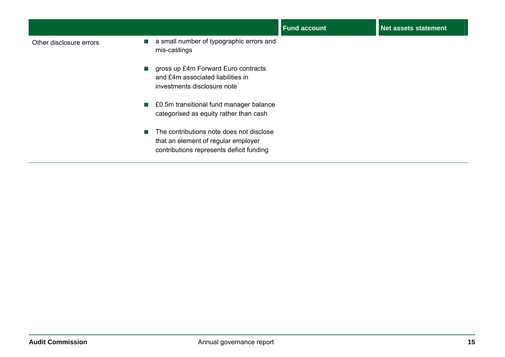|                         |                                                                                                                                        | <b>Fund account</b> | <b>Net assets statement</b> |
|-------------------------|----------------------------------------------------------------------------------------------------------------------------------------|---------------------|-----------------------------|
| Other disclosure errors | a small number of typographic errors and<br>mis-castings                                                                               |                     |                             |
|                         | gross up £4m Forward Euro contracts<br>$\mathcal{L}_{\mathcal{A}}$<br>and £4m associated liabilities in<br>investments disclosure note |                     |                             |
|                         | ■ £0.5m transitional fund manager balance<br>categorised as equity rather than cash                                                    |                     |                             |
|                         | The contributions note does not disclose<br>г<br>that an element of regular employer<br>contributions represents deficit funding       |                     |                             |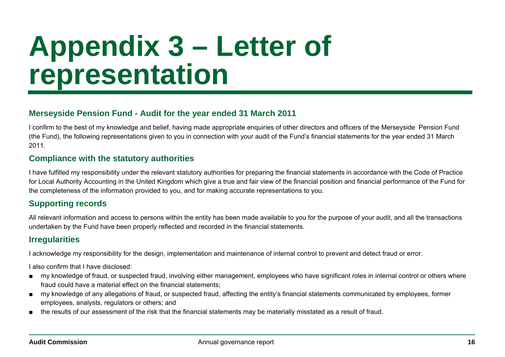### **Appendix 3 – Letter of representation**

#### **Merseyside Pension Fund - Audit for the year ended 31 March 2011**

I confirm to the best of my knowledge and belief, having made appropriate enquiries of other directors and officers of the Merseyside Pension Fund (the Fund), the following representations given to you in connection with your audit of the Fund's financial statements for the year ended 31 March 2011.

#### **Compliance with the statutory authorities**

I have fulfilled my responsibility under the relevant statutory authorities for preparing the financial statements in accordance with the Code of Practice for Local Authority Accounting in the United Kingdom which give a true and fair view of the financial position and financial performance of the Fund for the completeness of the information provided to you, and for making accurate representations to you.

#### **Supporting records**

All relevant information and access to persons within the entity has been made available to you for the purpose of your audit, and all the transactions undertaken by the Fund have been properly reflected and recorded in the financial statements.

#### **Irregularities**

I acknowledge my responsibility for the design, implementation and maintenance of internal control to prevent and detect fraud or error.

I also confirm that I have disclosed:

- my knowledge of fraud, or suspected fraud, involving either management, employees who have significant roles in internal control or others where fraud could have a material effect on the financial statements;
- my knowledge of any allegations of fraud, or suspected fraud, affecting the entity's financial statements communicated by employees, former employees, analysts, regulators or others; and
- the results of our assessment of the risk that the financial statements may be materially misstated as a result of fraud.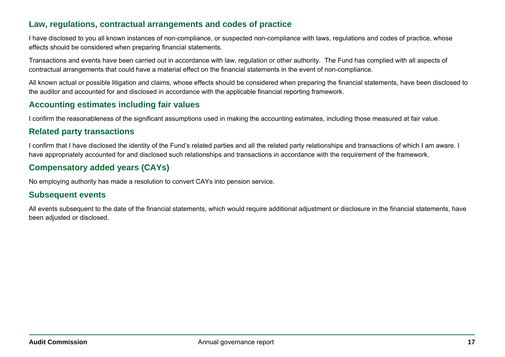#### **Law, regulations, contractual arrangements and codes of practice**

I have disclosed to you all known instances of non-compliance, or suspected non-compliance with laws, regulations and codes of practice, whose effects should be considered when preparing financial statements.

Transactions and events have been carried out in accordance with law, regulation or other authority. The Fund has complied with all aspects of contractual arrangements that could have a material effect on the financial statements in the event of non-compliance.

All known actual or possible litigation and claims, whose effects should be considered when preparing the financial statements, have been disclosed to the auditor and accounted for and disclosed in accordance with the applicable financial reporting framework.

#### **Accounting estimates including fair values**

I confirm the reasonableness of the significant assumptions used in making the accounting estimates, including those measured at fair value.

#### **Related party transactions**

I confirm that I have disclosed the identity of the Fund's related parties and all the related party relationships and transactions of which I am aware. I have appropriately accounted for and disclosed such relationships and transactions in accordance with the requirement of the framework.

#### **Compensatory added years (CAYs)**

No employing authority has made a resolution to convert CAYs into pension service.

#### **Subsequent events**

All events subsequent to the date of the financial statements, which would require additional adjustment or disclosure in the financial statements, have been adjusted or disclosed.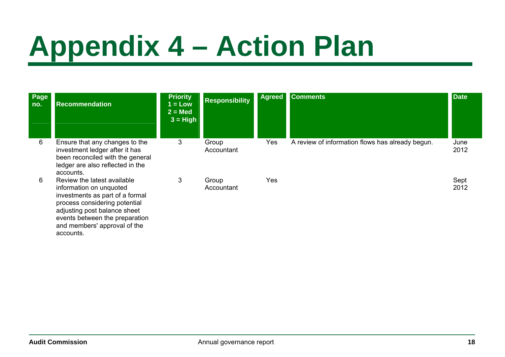## **Appendix 4 – Action Plan**

| Page<br>no. | <b>Recommendation</b>                                                                                                                                                                        | <b>Priority</b><br>$1 = Low$<br>$2 = Med$<br>$3 = High$ | <b>Responsibility</b> | <b>Agreed</b> | <b>Comments</b>                                  | <b>Date</b>  |
|-------------|----------------------------------------------------------------------------------------------------------------------------------------------------------------------------------------------|---------------------------------------------------------|-----------------------|---------------|--------------------------------------------------|--------------|
| 6           | Ensure that any changes to the<br>investment ledger after it has<br>been reconciled with the general<br>ledger are also reflected in the<br>accounts.                                        | 3                                                       | Group<br>Accountant   | Yes           | A review of information flows has already begun. | June<br>2012 |
| 6           | Review the latest available<br>information on unquoted<br>investments as part of a formal<br>process considering potential<br>adjusting post balance sheet<br>events between the preparation | 3                                                       | Group<br>Accountant   | Yes           |                                                  | Sept<br>2012 |

and members' approval of the

accounts.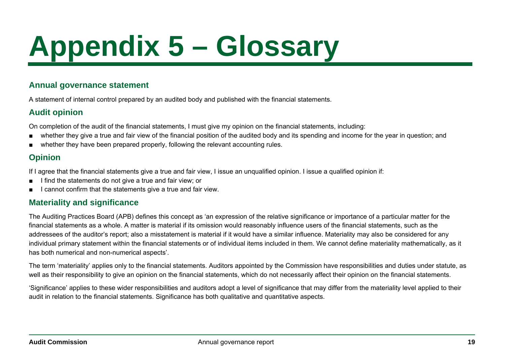## **Appendix 5 – Glossary**

#### **Annual governance statement**

A statement of internal control prepared by an audited body and published with the financial statements.

#### **Audit opinion**

On completion of the audit of the financial statements, I must give my opinion on the financial statements, including:

- whether they give a true and fair view of the financial position of the audited body and its spending and income for the year in question; and
- whether they have been prepared properly, following the relevant accounting rules.

### **Opinion**

If I agree that the financial statements give a true and fair view, I issue an unqualified opinion. I issue a qualified opinion if:

- I find the statements do not give a true and fair view; or
- I cannot confirm that the statements give a true and fair view.

#### **Materiality and significance**

The Auditing Practices Board (APB) defines this concept as 'an expression of the relative significance or importance of a particular matter for the financial statements as a whole. A matter is material if its omission would reasonably influence users of the financial statements, such as the addressees of the auditor's report; also a misstatement is material if it would have a similar influence. Materiality may also be considered for any individual primary statement within the financial statements or of individual items included in them. We cannot define materiality mathematically, as it has both numerical and non-numerical aspects'.

The term 'materiality' applies only to the financial statements. Auditors appointed by the Commission have responsibilities and duties under statute, as well as their responsibility to give an opinion on the financial statements, which do not necessarily affect their opinion on the financial statements.

'Significance' applies to these wider responsibilities and auditors adopt a level of significance that may differ from the materiality level applied to their audit in relation to the financial statements. Significance has both qualitative and quantitative aspects.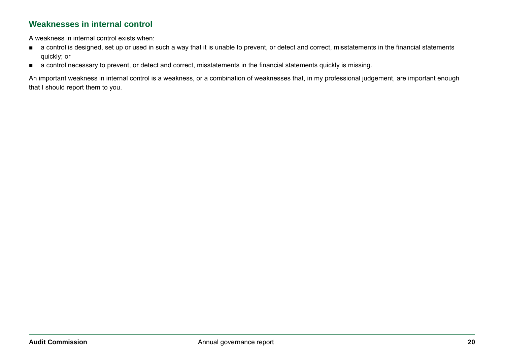#### **Weaknesses in internal control**

A weakness in internal control exists when:

- a control is designed, set up or used in such a way that it is unable to prevent, or detect and correct, misstatements in the financial statements quickly; or
- a control necessary to prevent, or detect and correct, misstatements in the financial statements quickly is missing.

An important weakness in internal control is a weakness, or a combination of weaknesses that, in my professional judgement, are important enough that I should report them to you.